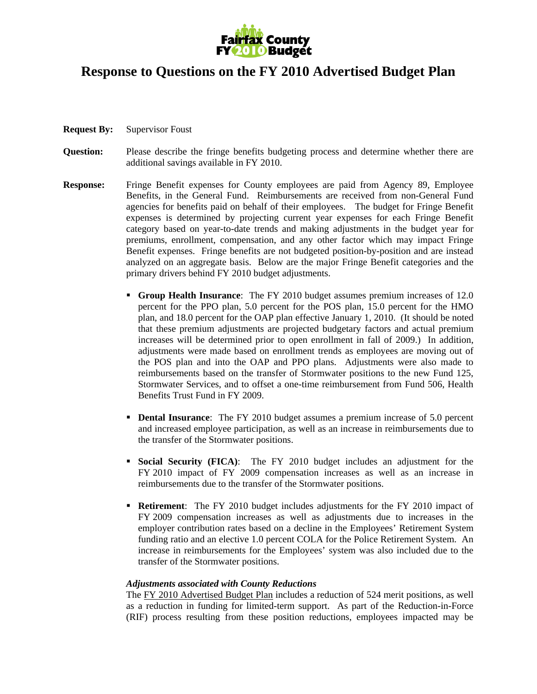

## **Response to Questions on the FY 2010 Advertised Budget Plan**

- **Request By:** Supervisor Foust
- **Question:** Please describe the fringe benefits budgeting process and determine whether there are additional savings available in FY 2010.
- **Response:** Fringe Benefit expenses for County employees are paid from Agency 89, Employee Benefits, in the General Fund. Reimbursements are received from non-General Fund agencies for benefits paid on behalf of their employees. The budget for Fringe Benefit expenses is determined by projecting current year expenses for each Fringe Benefit category based on year-to-date trends and making adjustments in the budget year for premiums, enrollment, compensation, and any other factor which may impact Fringe Benefit expenses. Fringe benefits are not budgeted position-by-position and are instead analyzed on an aggregate basis. Below are the major Fringe Benefit categories and the primary drivers behind FY 2010 budget adjustments.
	- **Group Health Insurance**: The FY 2010 budget assumes premium increases of 12.0 percent for the PPO plan, 5.0 percent for the POS plan, 15.0 percent for the HMO plan, and 18.0 percent for the OAP plan effective January 1, 2010. (It should be noted that these premium adjustments are projected budgetary factors and actual premium increases will be determined prior to open enrollment in fall of 2009.) In addition, adjustments were made based on enrollment trends as employees are moving out of the POS plan and into the OAP and PPO plans. Adjustments were also made to reimbursements based on the transfer of Stormwater positions to the new Fund 125, Stormwater Services, and to offset a one-time reimbursement from Fund 506, Health Benefits Trust Fund in FY 2009.
	- **Dental Insurance:** The FY 2010 budget assumes a premium increase of 5.0 percent and increased employee participation, as well as an increase in reimbursements due to the transfer of the Stormwater positions.
	- **Social Security (FICA)**: The FY 2010 budget includes an adjustment for the FY 2010 impact of FY 2009 compensation increases as well as an increase in reimbursements due to the transfer of the Stormwater positions.
	- **Retirement**: The FY 2010 budget includes adjustments for the FY 2010 impact of FY 2009 compensation increases as well as adjustments due to increases in the employer contribution rates based on a decline in the Employees' Retirement System funding ratio and an elective 1.0 percent COLA for the Police Retirement System. An increase in reimbursements for the Employees' system was also included due to the transfer of the Stormwater positions.

## *Adjustments associated with County Reductions*

The FY 2010 Advertised Budget Plan includes a reduction of 524 merit positions, as well as a reduction in funding for limited-term support. As part of the Reduction-in-Force (RIF) process resulting from these position reductions, employees impacted may be